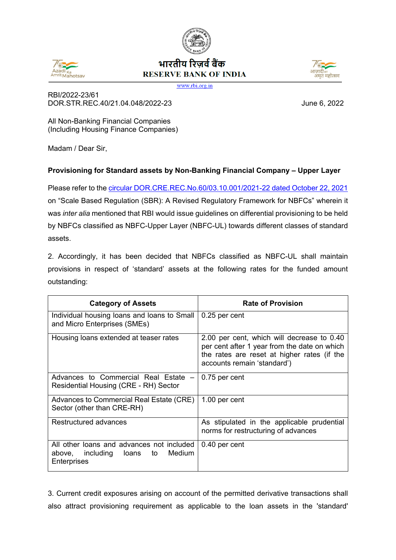

## भारतीय रिजर्व बैंक **RESERVE BANK OF INDIA**



www.rbi.org.in

RBI/2022-23/61 DOR.STR.REC.40/21.04.048/2022-23 June 6, 2022

All Non-Banking Financial Companies (Including Housing Finance Companies)

Madam / Dear Sir,

## **Provisioning for Standard assets by Non-Banking Financial Company – Upper Layer**

Please refer to the [circular DOR.CRE.REC.No.60/03.10.001/2021-22 dated October 22, 2021](https://www.rbi.org.in/Scripts/NotificationUser.aspx?Id=12179&Mode=0) on "Scale Based Regulation (SBR): A Revised Regulatory Framework for NBFCs" wherein it was *inter alia* mentioned that RBI would issue guidelines on differential provisioning to be held by NBFCs classified as NBFC-Upper Layer (NBFC-UL) towards different classes of standard assets.

2. Accordingly, it has been decided that NBFCs classified as NBFC-UL shall maintain provisions in respect of 'standard' assets at the following rates for the funded amount outstanding:

| <b>Category of Assets</b>                                                                             | <b>Rate of Provision</b>                                                                                                                                                 |
|-------------------------------------------------------------------------------------------------------|--------------------------------------------------------------------------------------------------------------------------------------------------------------------------|
| Individual housing loans and loans to Small<br>and Micro Enterprises (SMEs)                           | 0.25 per cent                                                                                                                                                            |
| Housing loans extended at teaser rates                                                                | 2.00 per cent, which will decrease to 0.40<br>per cent after 1 year from the date on which<br>the rates are reset at higher rates (if the<br>accounts remain 'standard') |
| Advances to Commercial Real Estate -<br>Residential Housing (CRE - RH) Sector                         | 0.75 per cent                                                                                                                                                            |
| Advances to Commercial Real Estate (CRE)<br>Sector (other than CRE-RH)                                | 1.00 per cent                                                                                                                                                            |
| Restructured advances                                                                                 | As stipulated in the applicable prudential<br>norms for restructuring of advances                                                                                        |
| All other loans and advances not included<br>above, including<br>Medium<br>loans<br>to<br>Enterprises | 0.40 per cent                                                                                                                                                            |

3. Current credit exposures arising on account of the permitted derivative transactions shall also attract provisioning requirement as applicable to the loan assets in the 'standard'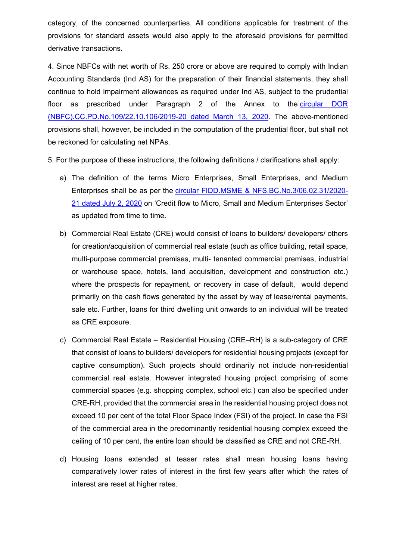category, of the concerned counterparties. All conditions applicable for treatment of the provisions for standard assets would also apply to the aforesaid provisions for permitted derivative transactions.

4. Since NBFCs with net worth of Rs. 250 crore or above are required to comply with Indian Accounting Standards (Ind AS) for the preparation of their financial statements, they shall continue to hold impairment allowances as required under Ind AS, subject to the prudential floor as prescribed under Paragraph 2 of the Annex to the [circular DOR](https://www.rbi.org.in/Scripts/NotificationUser.aspx?Id=11818&Mode=0)  [\(NBFC\).CC.PD.No.109/22.10.106/2019-20 dated March 13, 2020.](https://www.rbi.org.in/Scripts/NotificationUser.aspx?Id=11818&Mode=0) The above-mentioned provisions shall, however, be included in the computation of the prudential floor, but shall not be reckoned for calculating net NPAs.

5. For the purpose of these instructions, the following definitions / clarifications shall apply:

- a) The definition of the terms Micro Enterprises, Small Enterprises, and Medium Enterprises shall be as per the [circular FIDD.MSME & NFS.BC.No.3/06.02.31/2020-](https://www.rbi.org.in/Scripts/NotificationUser.aspx?Id=11934&Mode=0) [21 dated July 2, 2020](https://www.rbi.org.in/Scripts/NotificationUser.aspx?Id=11934&Mode=0) on 'Credit flow to Micro, Small and Medium Enterprises Sector' as updated from time to time.
- b) Commercial Real Estate (CRE) would consist of loans to builders/ developers/ others for creation/acquisition of commercial real estate (such as office building, retail space, multi-purpose commercial premises, multi- tenanted commercial premises, industrial or warehouse space, hotels, land acquisition, development and construction etc.) where the prospects for repayment, or recovery in case of default, would depend primarily on the cash flows generated by the asset by way of lease/rental payments, sale etc. Further, loans for third dwelling unit onwards to an individual will be treated as CRE exposure.
- c) Commercial Real Estate Residential Housing (CRE–RH) is a sub-category of CRE that consist of loans to builders/ developers for residential housing projects (except for captive consumption). Such projects should ordinarily not include non-residential commercial real estate. However integrated housing project comprising of some commercial spaces (e.g. shopping complex, school etc.) can also be specified under CRE-RH, provided that the commercial area in the residential housing project does not exceed 10 per cent of the total Floor Space Index (FSI) of the project. In case the FSI of the commercial area in the predominantly residential housing complex exceed the ceiling of 10 per cent, the entire loan should be classified as CRE and not CRE-RH.
- d) Housing loans extended at teaser rates shall mean housing loans having comparatively lower rates of interest in the first few years after which the rates of interest are reset at higher rates.